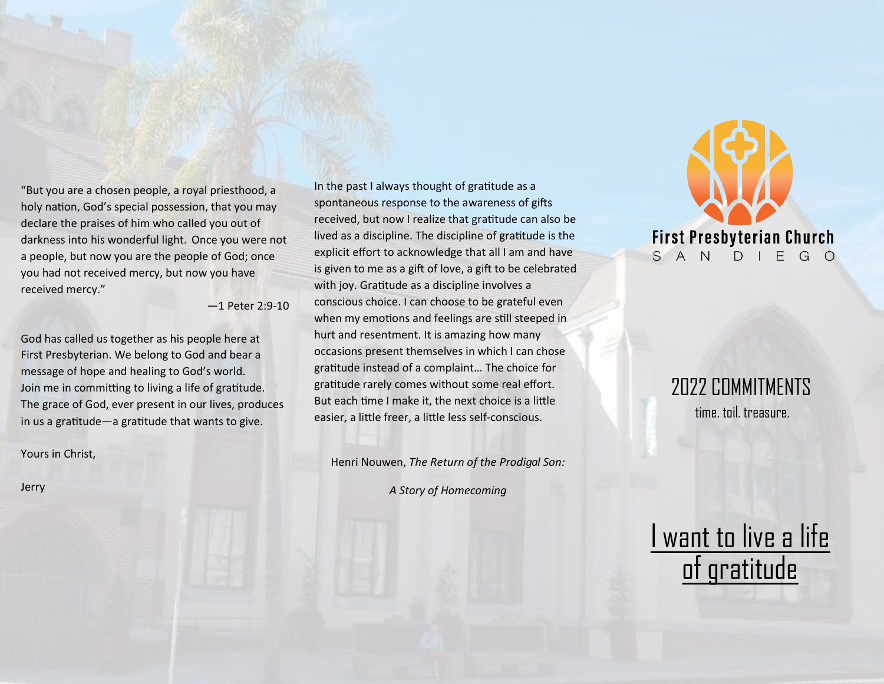"But you are a chosen people, a royal priesthood, a holy nation, God's special possession, that you may declare the praises of him who called you out of darkness into his wonderful light. Once you were not a people, but now you are the people of God; once you had not received mercy, but now you have received mercy."

—1 Peter 2:9-10

God has called us together as his people here at First Presbyterian. We belong to God and bear a message of hope and healing to God's world. Join me in committing to living a life of gratitude. The grace of God, ever present in our lives, produces in us a gratitude—a gratitude that wants to give.

Yours in Christ,

Jerry

In the past I always thought of gratitude as a spontaneous response to the awareness of gifts received, but now I realize that gratitude can also be lived as a discipline. The discipline of gratitude is the explicit effort to acknowledge that all I am and have is given to me as a gift of love, a gift to be celebrated with joy. Gratitude as a discipline involves a conscious choice. I can choose to be grateful even when my emotions and feelings are still steeped in hurt and resentment. It is amazing how many occasions present themselves in which I can chose gratitude instead of a complaint… The choice for gratitude rarely comes without some real effort. But each time I make it, the next choice is a little easier, a little freer, a little less self-conscious.

Henri Nouwen, *The Return of the Prodigal Son:* 

*A Story of Homecoming*



## 2022 COMMITMENTS time. toil. treasure.

## I want to live a life of gratitude